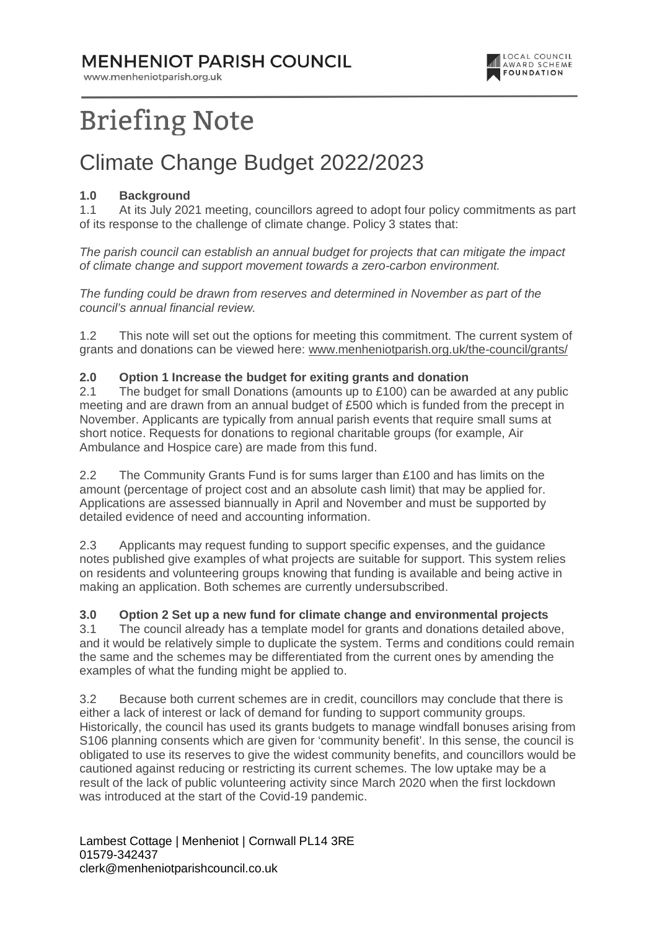### **MENHENIOT PARISH COUNCIL**

www.menheniotparish.org.uk



# **Briefing Note**

### Climate Change Budget 2022/2023

#### **1.0 Background**

1.1 At its July 2021 meeting, councillors agreed to adopt four policy commitments as part of its response to the challenge of climate change. Policy 3 states that:

The parish council can establish an annual budget for projects that can mitigate the impact of climate change and support movement towards a zero-carbon environment.

The funding could be drawn from reserves and determined in November as part of the council's annual financial review.

1.2 This note will set out the options for meeting this commitment. The current system of grants and donations can be viewed here: www.menheniotparish.org.uk/the-council/grants/

#### **2.0 Option 1 Increase the budget for exiting grants and donation**

2.1 The budget for small Donations (amounts up to £100) can be awarded at any public meeting and are drawn from an annual budget of £500 which is funded from the precept in November. Applicants are typically from annual parish events that require small sums at short notice. Requests for donations to regional charitable groups (for example, Air Ambulance and Hospice care) are made from this fund.

2.2 The Community Grants Fund is for sums larger than £100 and has limits on the amount (percentage of project cost and an absolute cash limit) that may be applied for. Applications are assessed biannually in April and November and must be supported by detailed evidence of need and accounting information.

2.3 Applicants may request funding to support specific expenses, and the guidance notes published give examples of what projects are suitable for support. This system relies on residents and volunteering groups knowing that funding is available and being active in making an application. Both schemes are currently undersubscribed.

#### **3.0 Option 2 Set up a new fund for climate change and environmental projects**

3.1 The council already has a template model for grants and donations detailed above, and it would be relatively simple to duplicate the system. Terms and conditions could remain the same and the schemes may be differentiated from the current ones by amending the examples of what the funding might be applied to.

3.2 Because both current schemes are in credit, councillors may conclude that there is either a lack of interest or lack of demand for funding to support community groups. Historically, the council has used its grants budgets to manage windfall bonuses arising from S106 planning consents which are given for 'community benefit'. In this sense, the council is obligated to use its reserves to give the widest community benefits, and councillors would be cautioned against reducing or restricting its current schemes. The low uptake may be a result of the lack of public volunteering activity since March 2020 when the first lockdown was introduced at the start of the Covid-19 pandemic.

Lambest Cottage | Menheniot | Cornwall PL14 3RE 01579-342437 clerk@menheniotparishcouncil.co.uk